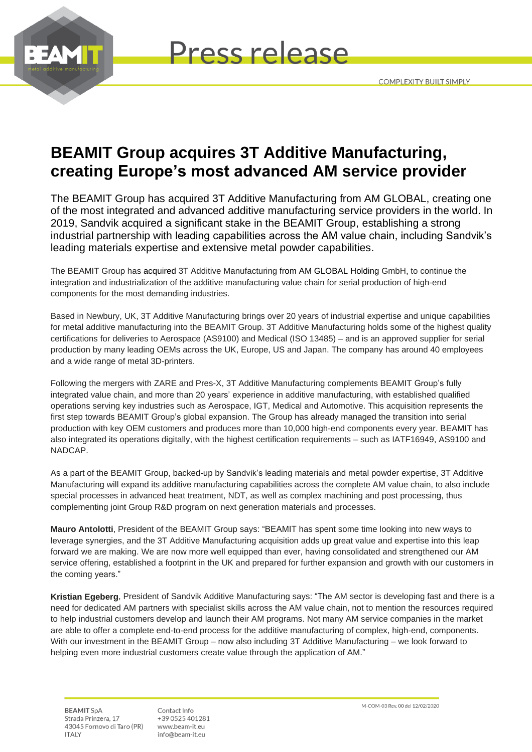



# **BEAMIT Group acquires 3T Additive Manufacturing, creating Europe's most advanced AM service provider**

The BEAMIT Group has acquired 3T Additive Manufacturing from AM GLOBAL, creating one of the most integrated and advanced additive manufacturing service providers in the world. In 2019, Sandvik acquired a significant stake in the BEAMIT Group, establishing a strong industrial partnership with leading capabilities across the AM value chain, including Sandvik's leading materials expertise and extensive metal powder capabilities.

The BEAMIT Group has acquired 3T Additive Manufacturing from AM GLOBAL Holding GmbH, to continue the integration and industrialization of the additive manufacturing value chain for serial production of high-end components for the most demanding industries.

Based in Newbury, UK, 3T Additive Manufacturing brings over 20 years of industrial expertise and unique capabilities for metal additive manufacturing into the BEAMIT Group. 3T Additive Manufacturing holds some of the highest quality certifications for deliveries to Aerospace (AS9100) and Medical (ISO 13485) – and is an approved supplier for serial production by many leading OEMs across the UK, Europe, US and Japan. The company has around 40 employees and a wide range of metal 3D-printers.

Following the mergers with ZARE and Pres-X, 3T Additive Manufacturing complements BEAMIT Group's fully integrated value chain, and more than 20 years' experience in additive manufacturing, with established qualified operations serving key industries such as Aerospace, IGT, Medical and Automotive. This acquisition represents the first step towards BEAMIT Group's global expansion. The Group has already managed the transition into serial production with key OEM customers and produces more than 10,000 high-end components every year. BEAMIT has also integrated its operations digitally, with the highest certification requirements – such as IATF16949, AS9100 and NADCAP.

As a part of the BEAMIT Group, backed-up by Sandvik's leading materials and metal powder expertise, 3T Additive Manufacturing will expand its additive manufacturing capabilities across the complete AM value chain, to also include special processes in advanced heat treatment, NDT, as well as complex machining and post processing, thus complementing joint Group R&D program on next generation materials and processes.

**Mauro Antolotti**, President of the BEAMIT Group says: "BEAMIT has spent some time looking into new ways to leverage synergies, and the 3T Additive Manufacturing acquisition adds up great value and expertise into this leap forward we are making. We are now more well equipped than ever, having consolidated and strengthened our AM service offering, established a footprint in the UK and prepared for further expansion and growth with our customers in the coming years."

**Kristian Egeberg**, President of Sandvik Additive Manufacturing says: "The AM sector is developing fast and there is a need for dedicated AM partners with specialist skills across the AM value chain, not to mention the resources required to help industrial customers develop and launch their AM programs. Not many AM service companies in the market are able to offer a complete end-to-end process for the additive manufacturing of complex, high-end, components. With our investment in the BEAMIT Group – now also including 3T Additive Manufacturing – we look forward to helping even more industrial customers create value through the application of AM."

**BEAMIT SpA** Strada Prinzera, 17 43045 Fornovo di Taro (PR) **ITALY** 

Contact Info +39 0525 401281 www.beam-it.eu info@beam-it.eu

M-COM-03 Rev. 00 del 12/02/2020